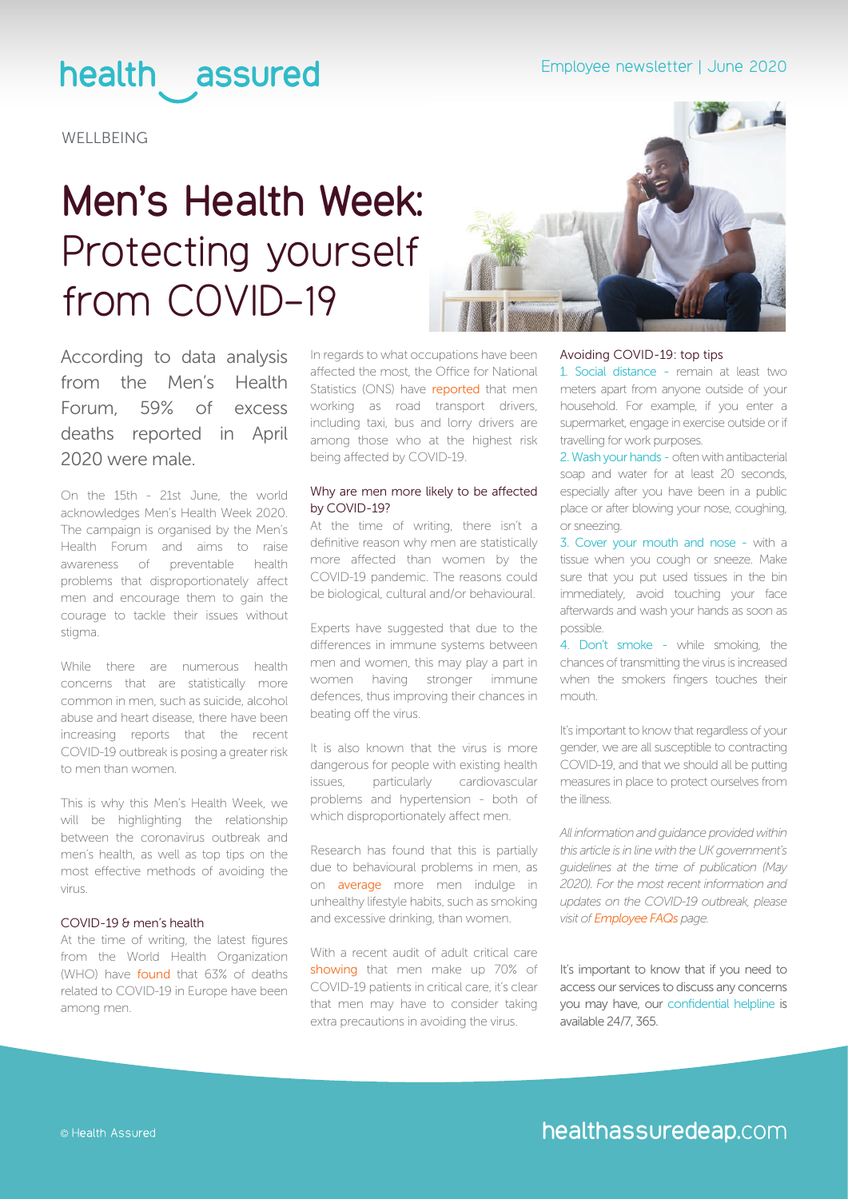### health assured

**WELLBEING** 

# **Men's Health Week:** Protecting yourself from COVID-19



According to data analysis from the Men's Health Forum, 59% of excess deaths reported in April 2020 were male.

On the 15th - 21st June, the world acknowledges Men's Health Week 2020. The campaign is organised by the Men's Health Forum and aims to raise awareness of preventable health problems that disproportionately affect men and encourage them to gain the courage to tackle their issues without stigma.

While there are numerous health concerns that are statistically more common in men, such as suicide, alcohol abuse and heart disease, there have been increasing reports that the recent COVID-19 outbreak is posing a greater risk to men than women.

This is why this Men's Health Week, we will be highlighting the relationship between the coronavirus outbreak and men's health, as well as top tips on the most effective methods of avoiding the virus.

#### COVID-19 & men's health

At the time of writing, the latest figures from the World Health Organization (WHO) have [found](http://www.euro.who.int/en/health-topics/health-emergencies/coronavirus-covid-19/weekly-surveillance-report) that 63% of deaths related to COVID-19 in Europe have been among men.

In regards to what occupations have been affected the most, the Office for National Statistics (ONS) have **reported** that men working as road transport drivers, including taxi, bus and lorry drivers are among those who at the highest risk being affected by COVID-19.

#### Why are men more likely to be affected by COVID-19?

At the time of writing, there isn't a definitive reason why men are statistically more affected than women by the COVID-19 pandemic. The reasons could be biological, cultural and/or behavioural.

Experts have suggested that due to the differences in immune systems between men and women, this may play a part in women having stronger immune defences, thus improving their chances in beating off the virus.

It is also known that the virus is more dangerous for people with existing health issues, particularly cardiovascular problems and hypertension - both of which disproportionately affect men.

Research has found that this is partially due to behavioural problems in men, as on [average](https://www.menshealthforum.org.uk/key-data-alcohol-and-smoking) more men indulge in unhealthy lifestyle habits, such as smoking and excessive drinking, than women.

With a recent audit of adult critical care [showing](https://www.theguardian.com/world/2020/may/01/coronavirus-uk-over-70-of-critical-care-patients-are-men) that men make up 70% of COVID-19 patients in critical care, it's clear that men may have to consider taking extra precautions in avoiding the virus.

#### Avoiding COVID-19: top tips

1. Social distance - remain at least two meters apart from anyone outside of your household. For example, if you enter a supermarket, engage in exercise outside or if travelling for work purposes.

2. Wash your hands - often with antibacterial soap and water for at least 20 seconds, especially after you have been in a public place or after blowing your nose, coughing, or sneezing.

3. Cover your mouth and nose - with a tissue when you cough or sneeze. Make sure that you put used tissues in the bin immediately, avoid touching your face afterwards and wash your hands as soon as possible.

4. Don't smoke - while smoking, the chances of transmitting the virus is increased when the smokers fingers touches their mouth.

It's important to know that regardless of your gender, we are all susceptible to contracting COVID-19, and that we should all be putting measures in place to protect ourselves from the illness.

*All information and guidance provided within this article is in line with the UK government's guidelines at the time of publication (May 2020). For the most recent information and updates on the COVID-19 outbreak, please visit of [Employee FAQs](https://www.healthassured.org/coronavirus-employee-faq/) page.*

It's important to know that if you need to access our services to discuss any concerns you may have, our confidential helpline is available 24/7, 365.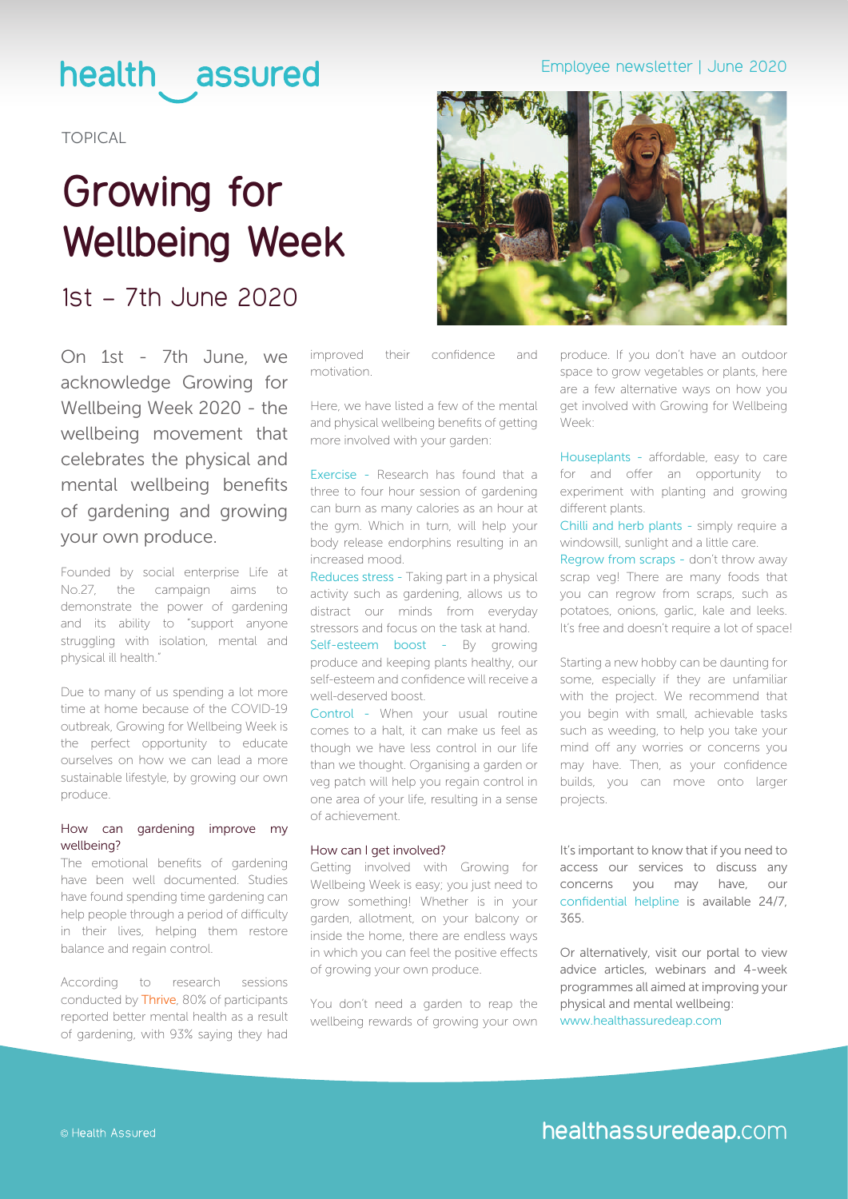### health assured

TOPICAL

### **Growing for Wellbeing Week**

### 1st – 7th June 2020

On 1st - 7th June, we acknowledge Growing for Wellbeing Week 2020 - the wellbeing movement that celebrates the physical and mental wellbeing benefits of gardening and growing your own produce.

Founded by social enterprise Life at No.27, the campaign aims to demonstrate the power of gardening and its ability to "support anyone struggling with isolation, mental and physical ill health."

Due to many of us spending a lot more time at home because of the COVID-19 outbreak, Growing for Wellbeing Week is the perfect opportunity to educate ourselves on how we can lead a more sustainable lifestyle, by growing our own produce.

#### How can gardening improve my wellbeing?

The emotional benefits of gardening have been well documented. Studies have found spending time gardening can help people through a period of difficulty in their lives, helping them restore balance and regain control.

According to research sessions conducted by [Thrive](https://www.thrive.org.uk/how-we-help/what-we-do/why-gardening-is-good-for-our-health/why-gardening-is-good-for-your-mental-wellbeing), 80% of participants reported better mental health as a result of gardening, with 93% saying they had

improved their confidence and motivation.

Here, we have listed a few of the mental and physical wellbeing benefits of getting more involved with your garden:

Exercise - Research has found that a three to four hour session of gardening can burn as many calories as an hour at the gym. Which in turn, will help your body release endorphins resulting in an increased mood.

Reduces stress - Taking part in a physical activity such as gardening, allows us to distract our minds from everyday stressors and focus on the task at hand. Self-esteem boost - By growing produce and keeping plants healthy, our self-esteem and confidence will receive a well-deserved boost.

Control - When your usual routine comes to a halt, it can make us feel as though we have less control in our life than we thought. Organising a garden or veg patch will help you regain control in one area of your life, resulting in a sense of achievement.

#### How can I get involved?

Getting involved with Growing for Wellbeing Week is easy; you just need to grow something! Whether is in your garden, allotment, on your balcony or inside the home, there are endless ways in which you can feel the positive effects of growing your own produce.

You don't need a garden to reap the wellbeing rewards of growing your own

#### Employee newsletter | June 2020



produce. If you don't have an outdoor space to grow vegetables or plants, here are a few alternative ways on how you get involved with Growing for Wellbeing Week:

Houseplants - affordable, easy to care for and offer an opportunity to experiment with planting and growing different plants.

Chilli and herb plants - simply require a windowsill, sunlight and a little care.

Regrow from scraps - don't throw away scrap veg! There are many foods that you can regrow from scraps, such as potatoes, onions, garlic, kale and leeks. It's free and doesn't require a lot of space!

Starting a new hobby can be daunting for some, especially if they are unfamiliar with the project. We recommend that you begin with small, achievable tasks such as weeding, to help you take your mind off any worries or concerns you may have. Then, as your confidence builds, you can move onto larger projects.

It's important to know that if you need to access our services to discuss any concerns you may have, our confidential helpline is available 24/7, 365.

Or alternatively, visit our portal to view advice articles, webinars and 4-week programmes all aimed at improving your physical and mental wellbeing: [www.healthassuredeap.com](https://healthassuredeap.co.uk/)